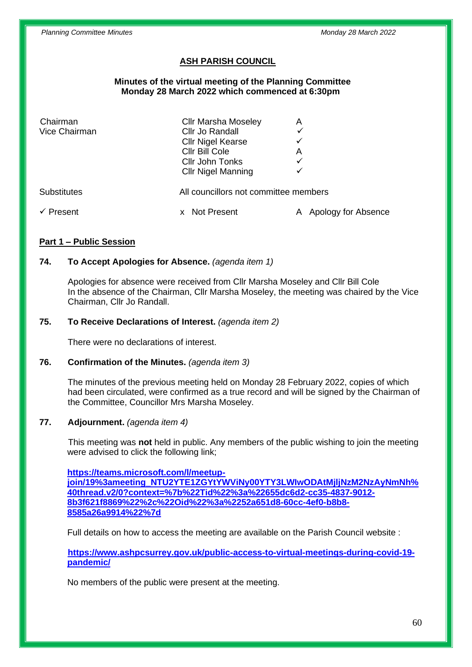# **ASH PARISH COUNCIL**

#### **Minutes of the virtual meeting of the Planning Committee Monday 28 March 2022 which commenced at 6:30pm**

| Chairman           | <b>Cllr Marsha Moseley</b>            | А                   |
|--------------------|---------------------------------------|---------------------|
| Vice Chairman      | Cllr Jo Randall                       |                     |
|                    | <b>Cllr Nigel Kearse</b>              |                     |
|                    | Cllr Bill Cole                        | A                   |
|                    | Cllr John Tonks                       |                     |
|                    | <b>Cllr Nigel Manning</b>             |                     |
| <b>Substitutes</b> | All councillors not committee members |                     |
| Present            | <b>Not Present</b>                    | Apology for Absence |

#### **Part 1 – Public Session**

#### **74. To Accept Apologies for Absence.** *(agenda item 1)*

Apologies for absence were received from Cllr Marsha Moseley and Cllr Bill Cole In the absence of the Chairman, Cllr Marsha Moseley, the meeting was chaired by the Vice Chairman, Cllr Jo Randall.

#### **75. To Receive Declarations of Interest.** *(agenda item 2)*

There were no declarations of interest.

#### **76. Confirmation of the Minutes.** *(agenda item 3)*

The minutes of the previous meeting held on Monday 28 February 2022, copies of which had been circulated, were confirmed as a true record and will be signed by the Chairman of the Committee, Councillor Mrs Marsha Moseley.

## **77. Adjournment.** *(agenda item 4)*

This meeting was **not** held in public. Any members of the public wishing to join the meeting were advised to click the following link;

**[https://teams.microsoft.com/l/meetup](https://teams.microsoft.com/l/meetup-join/19%3ameeting_NTU2YTE1ZGYtYWViNy00YTY3LWIwODAtMjljNzM2NzAyNmNh%40thread.v2/0?context=%7b%22Tid%22%3a%22655dc6d2-cc35-4837-9012-8b3f621f8869%22%2c%22Oid%22%3a%2252a651d8-60cc-4ef0-b8b8-8585a26a9914%22%7d)[join/19%3ameeting\\_NTU2YTE1ZGYtYWViNy00YTY3LWIwODAtMjljNzM2NzAyNmNh%](https://teams.microsoft.com/l/meetup-join/19%3ameeting_NTU2YTE1ZGYtYWViNy00YTY3LWIwODAtMjljNzM2NzAyNmNh%40thread.v2/0?context=%7b%22Tid%22%3a%22655dc6d2-cc35-4837-9012-8b3f621f8869%22%2c%22Oid%22%3a%2252a651d8-60cc-4ef0-b8b8-8585a26a9914%22%7d) [40thread.v2/0?context=%7b%22Tid%22%3a%22655dc6d2-cc35-4837-9012-](https://teams.microsoft.com/l/meetup-join/19%3ameeting_NTU2YTE1ZGYtYWViNy00YTY3LWIwODAtMjljNzM2NzAyNmNh%40thread.v2/0?context=%7b%22Tid%22%3a%22655dc6d2-cc35-4837-9012-8b3f621f8869%22%2c%22Oid%22%3a%2252a651d8-60cc-4ef0-b8b8-8585a26a9914%22%7d) [8b3f621f8869%22%2c%22Oid%22%3a%2252a651d8-60cc-4ef0-b8b8-](https://teams.microsoft.com/l/meetup-join/19%3ameeting_NTU2YTE1ZGYtYWViNy00YTY3LWIwODAtMjljNzM2NzAyNmNh%40thread.v2/0?context=%7b%22Tid%22%3a%22655dc6d2-cc35-4837-9012-8b3f621f8869%22%2c%22Oid%22%3a%2252a651d8-60cc-4ef0-b8b8-8585a26a9914%22%7d) [8585a26a9914%22%7d](https://teams.microsoft.com/l/meetup-join/19%3ameeting_NTU2YTE1ZGYtYWViNy00YTY3LWIwODAtMjljNzM2NzAyNmNh%40thread.v2/0?context=%7b%22Tid%22%3a%22655dc6d2-cc35-4837-9012-8b3f621f8869%22%2c%22Oid%22%3a%2252a651d8-60cc-4ef0-b8b8-8585a26a9914%22%7d)**

Full details on how to access the meeting are available on the Parish Council website :

**[https://www.ashpcsurrey.gov.uk/public-access-to-virtual-meetings-during-covid-19](https://www.ashpcsurrey.gov.uk/public-access-to-virtual-meetings-during-covid-19-pandemic/) [pandemic/](https://www.ashpcsurrey.gov.uk/public-access-to-virtual-meetings-during-covid-19-pandemic/)**

No members of the public were present at the meeting.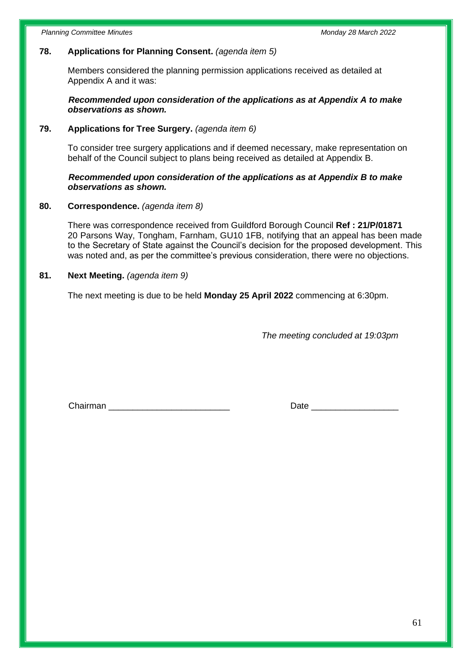# **78. Applications for Planning Consent.** *(agenda item 5)*

Members considered the planning permission applications received as detailed at Appendix A and it was:

 *Recommended upon consideration of the applications as at Appendix A to make observations as shown.*

#### **79. Applications for Tree Surgery.** *(agenda item 6)*

To consider tree surgery applications and if deemed necessary, make representation on behalf of the Council subject to plans being received as detailed at Appendix B.

## *Recommended upon consideration of the applications as at Appendix B to make observations as shown.*

#### **80. Correspondence.** *(agenda item 8)*

There was correspondence received from Guildford Borough Council **Ref : 21/P/01871** 20 Parsons Way, Tongham, Farnham, GU10 1FB, notifying that an appeal has been made to the Secretary of State against the Council's decision for the proposed development. This was noted and, as per the committee's previous consideration, there were no objections.

#### **81. Next Meeting.** *(agenda item 9)*

The next meeting is due to be held **Monday 25 April 2022** commencing at 6:30pm.

*The meeting concluded at 19:03pm*

Chairman **Exercise Chairman Chairman Chairman Chairman Chairman Chairman Chairman Chairman Chairman Chairman Chairman Chairman Chairman Chairman Chairman Chairman Chairman Chairman Chair**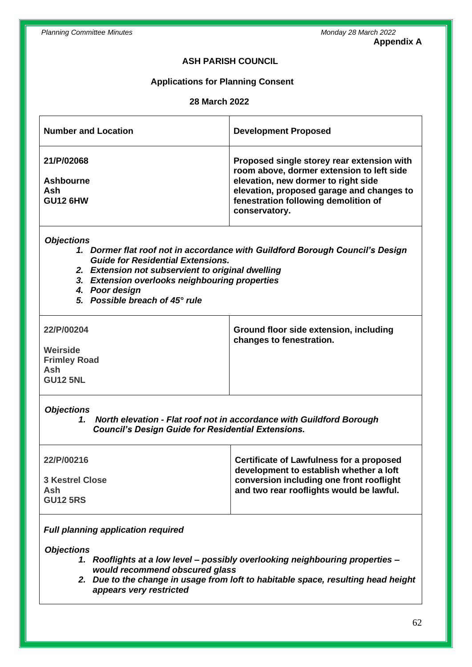## **ASH PARISH COUNCIL**

# **Applications for Planning Consent**

# **28 March 2022**

| <b>Number and Location</b>                                                                                                                                                                                                                                                                                | <b>Development Proposed</b>                                                                |  |
|-----------------------------------------------------------------------------------------------------------------------------------------------------------------------------------------------------------------------------------------------------------------------------------------------------------|--------------------------------------------------------------------------------------------|--|
| 21/P/02068                                                                                                                                                                                                                                                                                                | Proposed single storey rear extension with<br>room above, dormer extension to left side    |  |
| <b>Ashbourne</b>                                                                                                                                                                                                                                                                                          | elevation, new dormer to right side                                                        |  |
| Ash                                                                                                                                                                                                                                                                                                       | elevation, proposed garage and changes to                                                  |  |
| <b>GU12 6HW</b>                                                                                                                                                                                                                                                                                           | fenestration following demolition of                                                       |  |
|                                                                                                                                                                                                                                                                                                           | conservatory.                                                                              |  |
|                                                                                                                                                                                                                                                                                                           |                                                                                            |  |
| <b>Objections</b><br>1. Dormer flat roof not in accordance with Guildford Borough Council's Design<br><b>Guide for Residential Extensions.</b><br>2. Extension not subservient to original dwelling<br>3. Extension overlooks neighbouring properties<br>4. Poor design<br>5. Possible breach of 45° rule |                                                                                            |  |
| 22/P/00204                                                                                                                                                                                                                                                                                                | Ground floor side extension, including<br>changes to fenestration.                         |  |
| Weirside                                                                                                                                                                                                                                                                                                  |                                                                                            |  |
| <b>Frimley Road</b>                                                                                                                                                                                                                                                                                       |                                                                                            |  |
| Ash                                                                                                                                                                                                                                                                                                       |                                                                                            |  |
| <b>GU12 5NL</b>                                                                                                                                                                                                                                                                                           |                                                                                            |  |
| <b>Objections</b><br>North elevation - Flat roof not in accordance with Guildford Borough<br>1.<br><b>Council's Design Guide for Residential Extensions.</b>                                                                                                                                              |                                                                                            |  |
| 22/P/00216                                                                                                                                                                                                                                                                                                | <b>Certificate of Lawfulness for a proposed</b><br>development to establish whether a loft |  |
| <b>3 Kestrel Close</b>                                                                                                                                                                                                                                                                                    | conversion including one front rooflight                                                   |  |
| Ash                                                                                                                                                                                                                                                                                                       | and two rear rooflights would be lawful.                                                   |  |
| <b>GU12 5RS</b>                                                                                                                                                                                                                                                                                           |                                                                                            |  |
|                                                                                                                                                                                                                                                                                                           |                                                                                            |  |
| <b>Full planning application required</b><br><b>Objections</b><br>1 Rooflights at a low level - possibly overlooking peighbouring properties -                                                                                                                                                            |                                                                                            |  |

- *1. Rooflights at a low level – possibly overlooking neighbouring properties – would recommend obscured glass*
- *2. Due to the change in usage from loft to habitable space, resulting head height appears very restricted*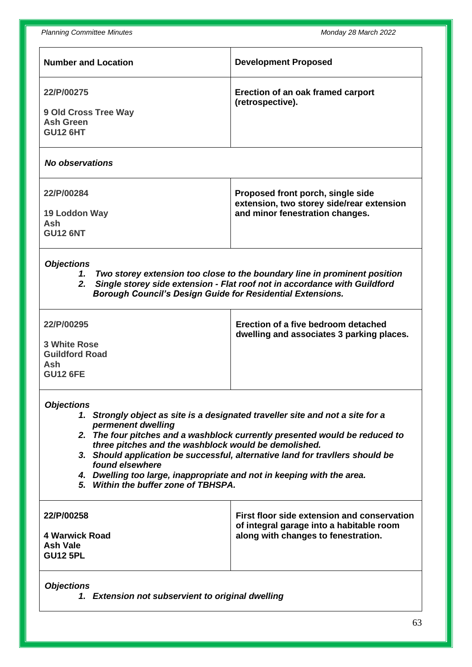*Planning Committee Minutes Monday 28 March 2022*

|                                                                                                                                                                                                                                                                                                                                                                                                                                                                                        | <b>Number and Location</b>                                        | <b>Development Proposed</b>                                                                                                                               |
|----------------------------------------------------------------------------------------------------------------------------------------------------------------------------------------------------------------------------------------------------------------------------------------------------------------------------------------------------------------------------------------------------------------------------------------------------------------------------------------|-------------------------------------------------------------------|-----------------------------------------------------------------------------------------------------------------------------------------------------------|
| 22/P/00275                                                                                                                                                                                                                                                                                                                                                                                                                                                                             |                                                                   | Erection of an oak framed carport<br>(retrospective).                                                                                                     |
|                                                                                                                                                                                                                                                                                                                                                                                                                                                                                        | 9 Old Cross Tree Way                                              |                                                                                                                                                           |
| <b>Ash Green</b>                                                                                                                                                                                                                                                                                                                                                                                                                                                                       |                                                                   |                                                                                                                                                           |
| <b>GU12 6HT</b>                                                                                                                                                                                                                                                                                                                                                                                                                                                                        |                                                                   |                                                                                                                                                           |
| <b>No observations</b>                                                                                                                                                                                                                                                                                                                                                                                                                                                                 |                                                                   |                                                                                                                                                           |
| 22/P/00284                                                                                                                                                                                                                                                                                                                                                                                                                                                                             |                                                                   | Proposed front porch, single side<br>extension, two storey side/rear extension                                                                            |
| 19 Loddon Way                                                                                                                                                                                                                                                                                                                                                                                                                                                                          |                                                                   | and minor fenestration changes.                                                                                                                           |
| Ash                                                                                                                                                                                                                                                                                                                                                                                                                                                                                    |                                                                   |                                                                                                                                                           |
| <b>GU12 6NT</b>                                                                                                                                                                                                                                                                                                                                                                                                                                                                        |                                                                   |                                                                                                                                                           |
| <b>Objections</b><br>2.                                                                                                                                                                                                                                                                                                                                                                                                                                                                | <b>Borough Council's Design Guide for Residential Extensions.</b> | 1. Two storey extension too close to the boundary line in prominent position<br>Single storey side extension - Flat roof not in accordance with Guildford |
| 22/P/00295                                                                                                                                                                                                                                                                                                                                                                                                                                                                             |                                                                   | Erection of a five bedroom detached<br>dwelling and associates 3 parking places.                                                                          |
| <b>3 White Rose</b>                                                                                                                                                                                                                                                                                                                                                                                                                                                                    |                                                                   |                                                                                                                                                           |
| <b>Guildford Road</b>                                                                                                                                                                                                                                                                                                                                                                                                                                                                  |                                                                   |                                                                                                                                                           |
| Ash                                                                                                                                                                                                                                                                                                                                                                                                                                                                                    |                                                                   |                                                                                                                                                           |
| <b>GU12 6FE</b>                                                                                                                                                                                                                                                                                                                                                                                                                                                                        |                                                                   |                                                                                                                                                           |
| <b>Objections</b><br>1. Strongly object as site is a designated traveller site and not a site for a<br>permenent dwelling<br>2. The four pitches and a washblock currently presented would be reduced to<br>three pitches and the washblock would be demolished.<br>3. Should application be successful, alternative land for travilers should be<br>found elsewhere<br>4. Dwelling too large, inappropriate and not in keeping with the area.<br>5. Within the buffer zone of TBHSPA. |                                                                   |                                                                                                                                                           |
| 22/P/00258<br><b>4 Warwick Road</b><br><b>Ash Vale</b><br><b>GU12 5PL</b>                                                                                                                                                                                                                                                                                                                                                                                                              |                                                                   | First floor side extension and conservation<br>of integral garage into a habitable room<br>along with changes to fenestration.                            |
| <b>Objections</b>                                                                                                                                                                                                                                                                                                                                                                                                                                                                      | 1. Extension not subservient to original dwelling                 |                                                                                                                                                           |

63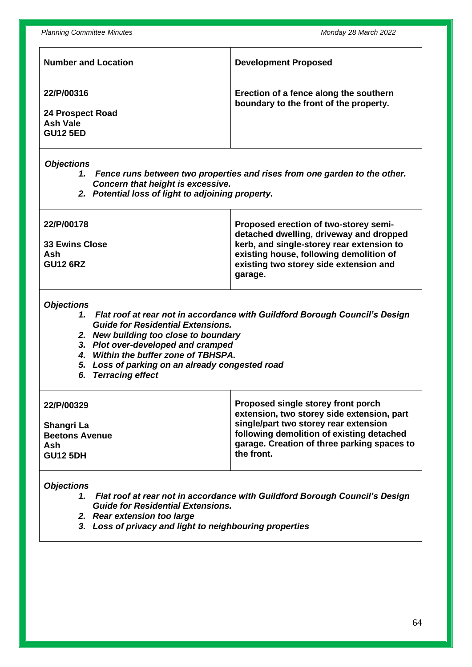| <b>Number and Location</b>                                           | <b>Development Proposed</b>                                                      |
|----------------------------------------------------------------------|----------------------------------------------------------------------------------|
| 22/P/00316<br>24 Prospect Road<br><b>Ash Vale</b><br><b>GU12 5ED</b> | Erection of a fence along the southern<br>boundary to the front of the property. |

*Objections*

- *1. Fence runs between two properties and rises from one garden to the other. Concern that height is excessive.*
- *2. Potential loss of light to adjoining property.*

| 22/P/00178                                      | Proposed erection of two-storey semi-<br>detached dwelling, driveway and dropped                                                          |
|-------------------------------------------------|-------------------------------------------------------------------------------------------------------------------------------------------|
| <b>33 Ewins Close</b><br>Ash<br><b>GU12 6RZ</b> | kerb, and single-storey rear extension to<br>existing house, following demolition of<br>existing two storey side extension and<br>garage. |

#### *Objections*

- *1. Flat roof at rear not in accordance with Guildford Borough Council's Design Guide for Residential Extensions.*
- *2. New building too close to boundary*
- *3. Plot over-developed and cramped*
- *4. Within the buffer zone of TBHSPA.*
- *5. Loss of parking on an already congested road*
- *6. Terracing effect*

| 22/P/00329            | Proposed single storey front porch<br>extension, two storey side extension, part |
|-----------------------|----------------------------------------------------------------------------------|
| Shangri La            | single/part two storey rear extension                                            |
| <b>Beetons Avenue</b> | following demolition of existing detached                                        |
| Ash                   | garage. Creation of three parking spaces to                                      |
| <b>GU12 5DH</b>       | the front.                                                                       |

## *Objections*

- *1. Flat roof at rear not in accordance with Guildford Borough Council's Design Guide for Residential Extensions.*
- *2. Rear extension too large*
- *3. Loss of privacy and light to neighbouring properties*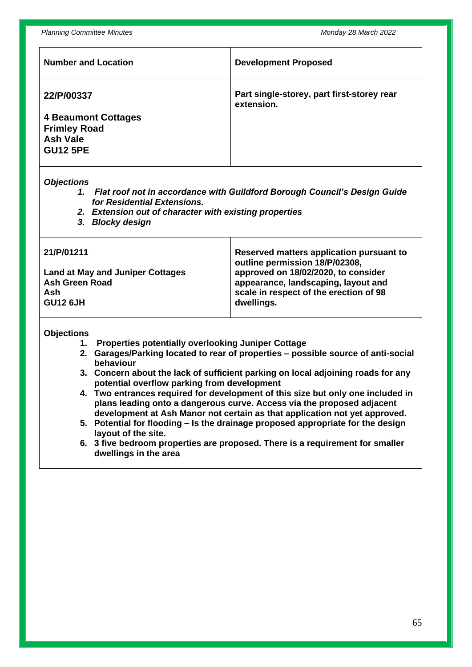| <b>Number and Location</b>                                                              | <b>Development Proposed</b>                              |
|-----------------------------------------------------------------------------------------|----------------------------------------------------------|
| 22/P/00337                                                                              | Part single-storey, part first-storey rear<br>extension. |
| <b>4 Beaumont Cottages</b><br><b>Frimley Road</b><br><b>Ash Vale</b><br><b>GU12 5PE</b> |                                                          |

#### *Objections*

- *1. Flat roof not in accordance with Guildford Borough Council's Design Guide for Residential Extensions.*
- *2. Extension out of character with existing properties*
- *3. Blocky design*

| 21/P/01211                              | Reserved matters application pursuant to<br>outline permission 18/P/02308, |
|-----------------------------------------|----------------------------------------------------------------------------|
| <b>Land at May and Juniper Cottages</b> | approved on 18/02/2020, to consider                                        |
| <b>Ash Green Road</b>                   | appearance, landscaping, layout and                                        |
| Ash                                     | scale in respect of the erection of 98                                     |
| <b>GU12 6JH</b>                         | dwellings.                                                                 |

#### **Objections**

- **1. Properties potentially overlooking Juniper Cottage**
- **2. Garages/Parking located to rear of properties – possible source of anti-social behaviour**
- **3. Concern about the lack of sufficient parking on local adjoining roads for any potential overflow parking from development**
- **4. Two entrances required for development of this size but only one included in plans leading onto a dangerous curve. Access via the proposed adjacent development at Ash Manor not certain as that application not yet approved.**
- **5. Potential for flooding – Is the drainage proposed appropriate for the design layout of the site.**
- **6. 3 five bedroom properties are proposed. There is a requirement for smaller dwellings in the area**